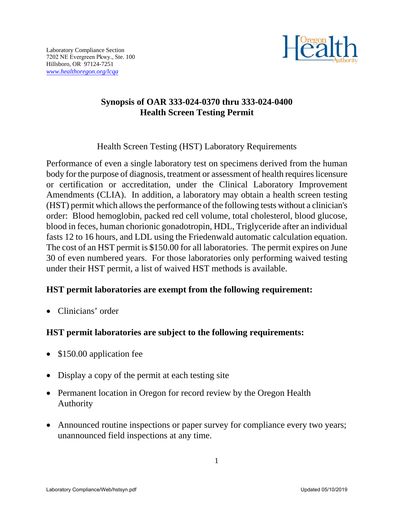

## **Synopsis of OAR 333-024-0370 thru 333-024-0400 Health Screen Testing Permit**

Health Screen Testing (HST) Laboratory Requirements

Performance of even a single laboratory test on specimens derived from the human body for the purpose of diagnosis, treatment or assessment of health requires licensure or certification or accreditation, under the Clinical Laboratory Improvement Amendments (CLIA). In addition, a laboratory may obtain a health screen testing (HST) permit which allows the performance of the following tests without a clinician's order: Blood hemoglobin, packed red cell volume, total cholesterol, blood glucose, blood in feces, human chorionic gonadotropin, HDL, Triglyceride after an individual fasts 12 to 16 hours, and LDL using the Friedenwald automatic calculation equation. The cost of an HST permit is \$150.00 for all laboratories. The permit expires on June 30 of even numbered years. For those laboratories only performing waived testing under their HST permit, a list of waived HST methods is available.

## **HST permit laboratories are exempt from the following requirement:**

Clinicians' order

## **HST permit laboratories are subject to the following requirements:**

- \$150.00 application fee
- Display a copy of the permit at each testing site
- Permanent location in Oregon for record review by the Oregon Health Authority
- Announced routine inspections or paper survey for compliance every two years; unannounced field inspections at any time.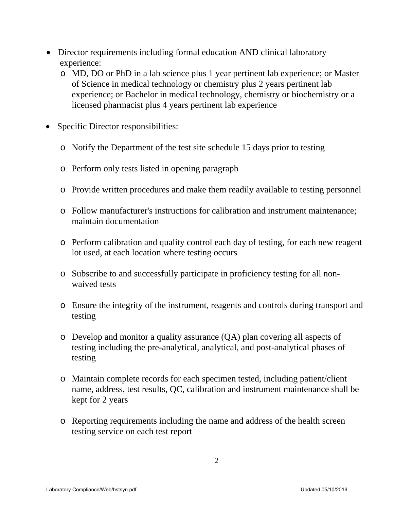- Director requirements including formal education AND clinical laboratory experience:
	- o MD, DO or PhD in a lab science plus 1 year pertinent lab experience; or Master of Science in medical technology or chemistry plus 2 years pertinent lab experience; or Bachelor in medical technology, chemistry or biochemistry or a licensed pharmacist plus 4 years pertinent lab experience
- Specific Director responsibilities:
	- o Notify the Department of the test site schedule 15 days prior to testing
	- o Perform only tests listed in opening paragraph
	- o Provide written procedures and make them readily available to testing personnel
	- o Follow manufacturer's instructions for calibration and instrument maintenance; maintain documentation
	- o Perform calibration and quality control each day of testing, for each new reagent lot used, at each location where testing occurs
	- o Subscribe to and successfully participate in proficiency testing for all nonwaived tests
	- o Ensure the integrity of the instrument, reagents and controls during transport and testing
	- o Develop and monitor a quality assurance (QA) plan covering all aspects of testing including the pre-analytical, analytical, and post-analytical phases of testing
	- o Maintain complete records for each specimen tested, including patient/client name, address, test results, QC, calibration and instrument maintenance shall be kept for 2 years
	- o Reporting requirements including the name and address of the health screen testing service on each test report